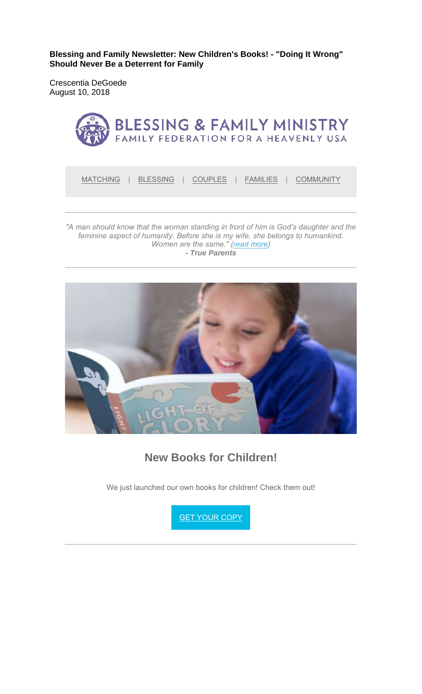**Blessing and Family Newsletter: New Children's Books! - "Doing It Wrong" Should Never Be a Deterrent for Family** 

Crescentia DeGoede August 10, 2018



*feminine aspect of humanity. Before she is my wife, she belongs to humankind. Women are the same." (read more) - True Parents*



**New Books for Children!**

We just launched our own books for children! Check them out!

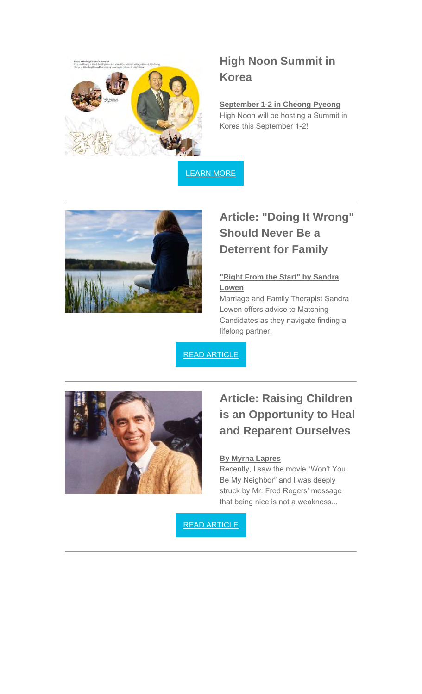

# **High Noon Summit in Korea**

**September 1-2 in Cheong Pyeong** High Noon will be hosting a Summit in Korea this September 1-2!

LEARN MORE



## **Article: "Doing It Wrong" Should Never Be a Deterrent for Family**

#### **"Right From the Start" by Sandra Lowen**

Marriage and Family Therapist Sandra Lowen offers advice to Matching Candidates as they navigate finding a lifelong partner.

READ ARTICLE



# **Article: Raising Children is an Opportunity to Heal and Reparent Ourselves**

#### **By Myrna Lapres**

Recently, I saw the movie "Won't You Be My Neighbor" and I was deeply struck by Mr. Fred Rogers' message that being nice is not a weakness...